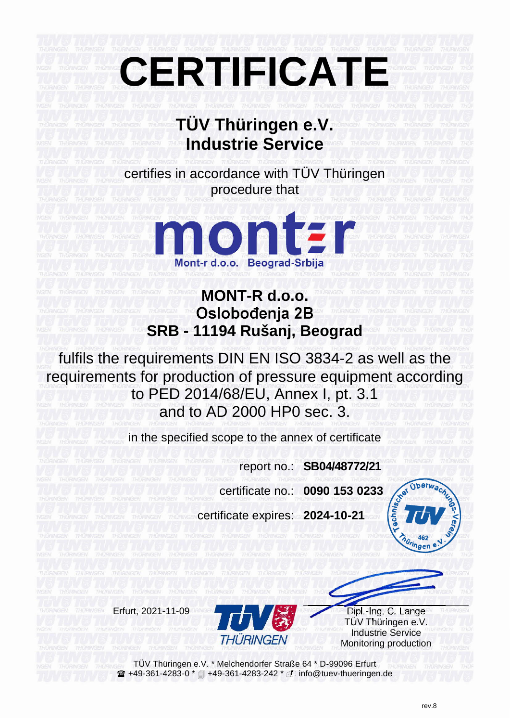## **CERTIFICATE**

## **TÜV Thüringen e.V. Industrie Service**

certifies in accordance with TÜV Thüringen procedure that



## **MONT-R d.o.o.** Oslobođenja 2B **SRB - 11194 Rušanj, Beograd**

fulfils the requirements DIN EN ISO 3834-2 as well as the requirements for production of pressure equipment according to PED 2014/68/EU, Annex I, pt. 3.1 and to AD 2000 HP0 sec. 3.

in the specified scope to the annex of certificate

report no.: **SB04/48772/21**

certificate no.: **0090 153 0233**

certificate expires: **2024-10-21**





TÜV Thüringen e.V. Industrie Service Monitoring production

TÜV Thüringen e.V. \* Melchendorfer Straße 64 \* D-99096 Erfurt **■+49-361-4283-0 \*** ■ +49-361-4283-242 \* *i*D info@tuev-thueringen.de